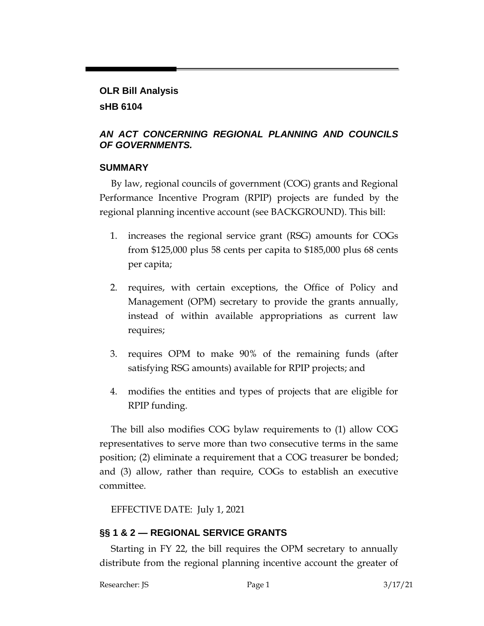### **OLR Bill Analysis sHB 6104**

### *AN ACT CONCERNING REGIONAL PLANNING AND COUNCILS OF GOVERNMENTS.*

### **SUMMARY**

By law, regional councils of government (COG) grants and Regional Performance Incentive Program (RPIP) projects are funded by the regional planning incentive account (see BACKGROUND). This bill:

- 1. increases the regional service grant (RSG) amounts for COGs from \$125,000 plus 58 cents per capita to \$185,000 plus 68 cents per capita;
- 2. requires, with certain exceptions, the Office of Policy and Management (OPM) secretary to provide the grants annually, instead of within available appropriations as current law requires;
- 3. requires OPM to make 90% of the remaining funds (after satisfying RSG amounts) available for RPIP projects; and
- 4. modifies the entities and types of projects that are eligible for RPIP funding.

The bill also modifies COG bylaw requirements to (1) allow COG representatives to serve more than two consecutive terms in the same position; (2) eliminate a requirement that a COG treasurer be bonded; and (3) allow, rather than require, COGs to establish an executive committee.

EFFECTIVE DATE: July 1, 2021

# **§§ 1 & 2 — REGIONAL SERVICE GRANTS**

Starting in FY 22, the bill requires the OPM secretary to annually distribute from the regional planning incentive account the greater of

Researcher: JS Page 1 3/17/21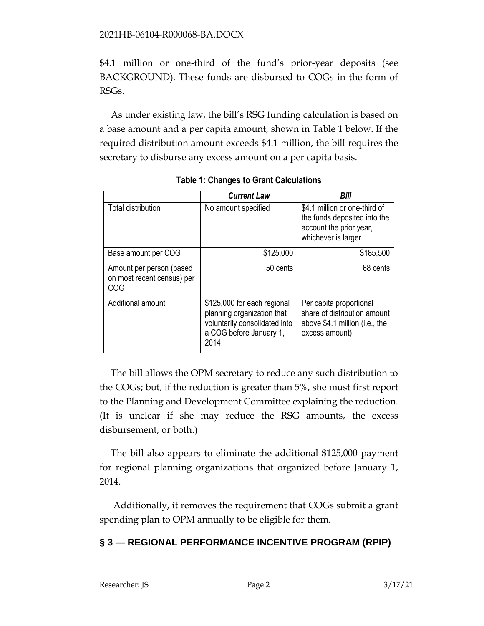\$4.1 million or one-third of the fund's prior-year deposits (see BACKGROUND). These funds are disbursed to COGs in the form of RSGs.

As under existing law, the bill's RSG funding calculation is based on a base amount and a per capita amount, shown in Table 1 below. If the required distribution amount exceeds \$4.1 million, the bill requires the secretary to disburse any excess amount on a per capita basis.

|                                                               | <b>Current Law</b>                                                                                                            | Bill                                                                                                            |
|---------------------------------------------------------------|-------------------------------------------------------------------------------------------------------------------------------|-----------------------------------------------------------------------------------------------------------------|
| <b>Total distribution</b>                                     | No amount specified                                                                                                           | \$4.1 million or one-third of<br>the funds deposited into the<br>account the prior year,<br>whichever is larger |
| Base amount per COG                                           | \$125,000                                                                                                                     | \$185,500                                                                                                       |
| Amount per person (based<br>on most recent census) per<br>COG | 50 cents                                                                                                                      | 68 cents                                                                                                        |
| Additional amount                                             | \$125,000 for each regional<br>planning organization that<br>voluntarily consolidated into<br>a COG before January 1,<br>2014 | Per capita proportional<br>share of distribution amount<br>above \$4.1 million (i.e., the<br>excess amount)     |

**Table 1: Changes to Grant Calculations**

The bill allows the OPM secretary to reduce any such distribution to the COGs; but, if the reduction is greater than 5%, she must first report to the Planning and Development Committee explaining the reduction. (It is unclear if she may reduce the RSG amounts, the excess disbursement, or both.)

The bill also appears to eliminate the additional \$125,000 payment for regional planning organizations that organized before January 1, 2014.

Additionally, it removes the requirement that COGs submit a grant spending plan to OPM annually to be eligible for them.

# **§ 3 — REGIONAL PERFORMANCE INCENTIVE PROGRAM (RPIP)**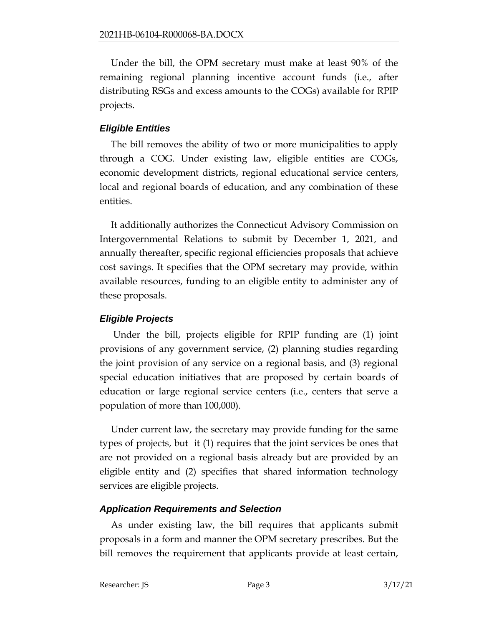Under the bill, the OPM secretary must make at least 90% of the remaining regional planning incentive account funds (i.e., after distributing RSGs and excess amounts to the COGs) available for RPIP projects.

### *Eligible Entities*

The bill removes the ability of two or more municipalities to apply through a COG. Under existing law, eligible entities are COGs, economic development districts, regional educational service centers, local and regional boards of education, and any combination of these entities.

It additionally authorizes the Connecticut Advisory Commission on Intergovernmental Relations to submit by December 1, 2021, and annually thereafter, specific regional efficiencies proposals that achieve cost savings. It specifies that the OPM secretary may provide, within available resources, funding to an eligible entity to administer any of these proposals.

# *Eligible Projects*

Under the bill, projects eligible for RPIP funding are (1) joint provisions of any government service, (2) planning studies regarding the joint provision of any service on a regional basis, and (3) regional special education initiatives that are proposed by certain boards of education or large regional service centers (i.e., centers that serve a population of more than 100,000).

Under current law, the secretary may provide funding for the same types of projects, but it (1) requires that the joint services be ones that are not provided on a regional basis already but are provided by an eligible entity and (2) specifies that shared information technology services are eligible projects.

# *Application Requirements and Selection*

As under existing law, the bill requires that applicants submit proposals in a form and manner the OPM secretary prescribes. But the bill removes the requirement that applicants provide at least certain,